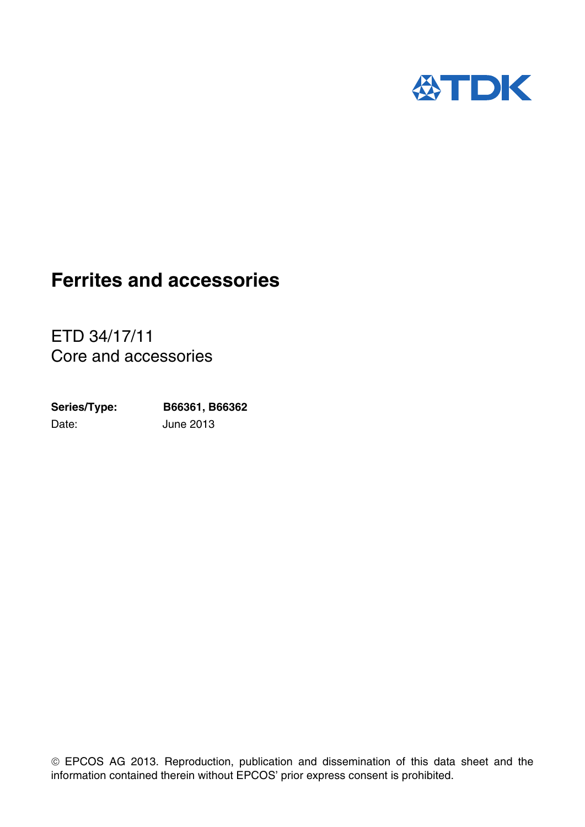

ETD 34/17/11 Core and accessories

Date: June 2013 **Series/Type: B66361, B66362**

 EPCOS AG 2013. Reproduction, publication and dissemination of this data sheet and the information contained therein without EPCOS' prior express consent is prohibited.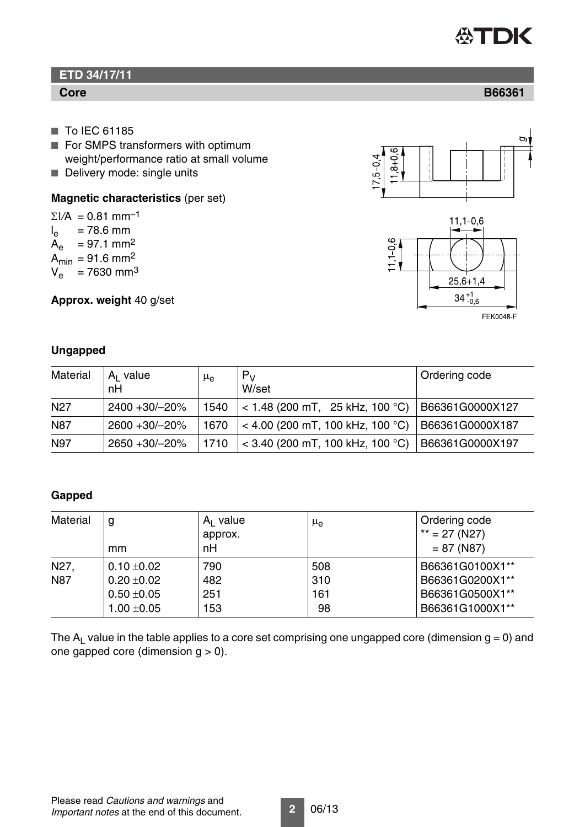# **公TDK**

## **ETD 34/17/11**

#### **Core B66361**

- To IEC 61185
- For SMPS transformers with optimum weight/performance ratio at small volume
- Delivery mode: single units

#### **Magnetic characteristics** (per set)

 $\Sigma I/A = 0.81$  mm<sup>-1</sup>  $I_{\rm e}$  $= 78.6$  mm  $A_e$  = 97.1 mm<sup>2</sup>  $A_{\text{min}} = 91.6 \text{ mm}^2$  $V_e$  = 7630 mm<sup>3</sup>

**Approx. weight** 40 g/set

## $\overline{ }$ cc  $8+0.6$  $7,5 - 0,4$



## **Ungapped**

| Material        | $A1$ value<br>nH | $\mu_{\rm e}$ | $P_V$<br>W/set                           | Ordering code   |
|-----------------|------------------|---------------|------------------------------------------|-----------------|
| N <sub>27</sub> | 2400 +30/-20%    | 1540          | $\vert$ < 1.48 (200 mT, 25 kHz, 100 °C)  | B66361G0000X127 |
| <b>N87</b>      | 2600 +30/-20%    | 1670          | $<$ 4.00 (200 mT, 100 kHz, 100 °C)       | B66361G0000X187 |
| N97             | 2650 +30/-20%    | 1710          | $\approx$ 3.40 (200 mT, 100 kHz, 100 °C) | B66361G0000X197 |

## **Gapped**

| Material          | g<br>mm         | $A1$ value<br>approx.<br>nH | μ <sub>e</sub> | Ordering code<br>$**$ = 27 (N27)<br>$= 87 (N87)$ |
|-------------------|-----------------|-----------------------------|----------------|--------------------------------------------------|
| N <sub>27</sub> , | $0.10 \pm 0.02$ | 790                         | 508            | B66361G0100X1**                                  |
| <b>N87</b>        | $0.20 \pm 0.02$ | 482                         | 310            | B66361G0200X1**                                  |
|                   | $0.50 + 0.05$   | 251                         | 161            | B66361G0500X1**                                  |
|                   | $1.00 \pm 0.05$ | 153                         | 98             | B66361G1000X1**                                  |

The  $A_L$  value in the table applies to a core set comprising one ungapped core (dimension  $g = 0$ ) and one gapped core (dimension  $q > 0$ ).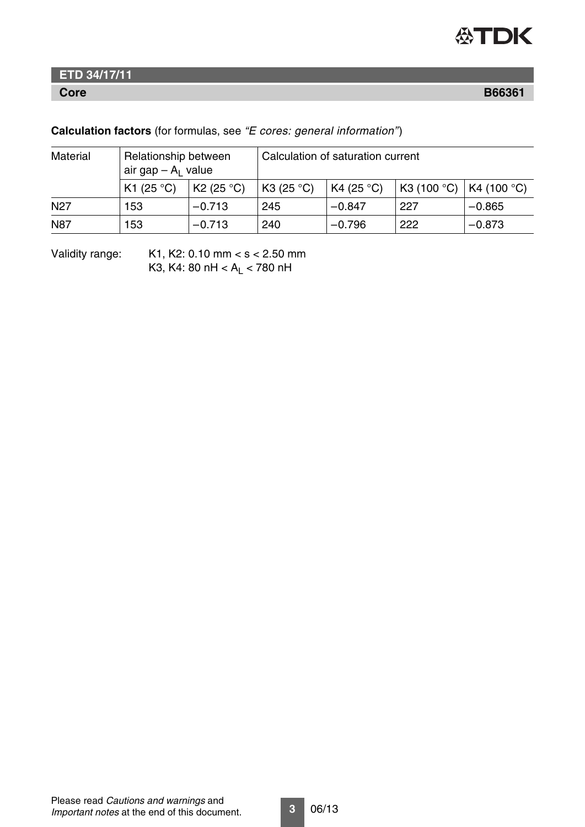

## **ETD 34/17/11**

**Core B66361**

### **Calculation factors** (for formulas, see *"E cores: general information"*)

| Material        | Relationship between<br>air gap $- A1$ value |                      | Calculation of saturation current |                     |             |                       |
|-----------------|----------------------------------------------|----------------------|-----------------------------------|---------------------|-------------|-----------------------|
|                 | K1 (25 °C)                                   | K2 (25 $^{\circ}$ C) | K3 $(25 °C)$                      | K4 (25 $\degree$ C) | K3 (100 °C) | K4 (100 $^{\circ}$ C) |
| N <sub>27</sub> | 153                                          | $-0.713$             | 245                               | $-0.847$            | 227         | $-0.865$              |
| <b>N87</b>      | 153                                          | $-0.713$             | 240                               | $-0.796$            | 222         | $-0.873$              |

Validity range: K1, K2: 0.10 mm < s < 2.50 mm K3, K4: 80 nH <  $A_L$  < 780 nH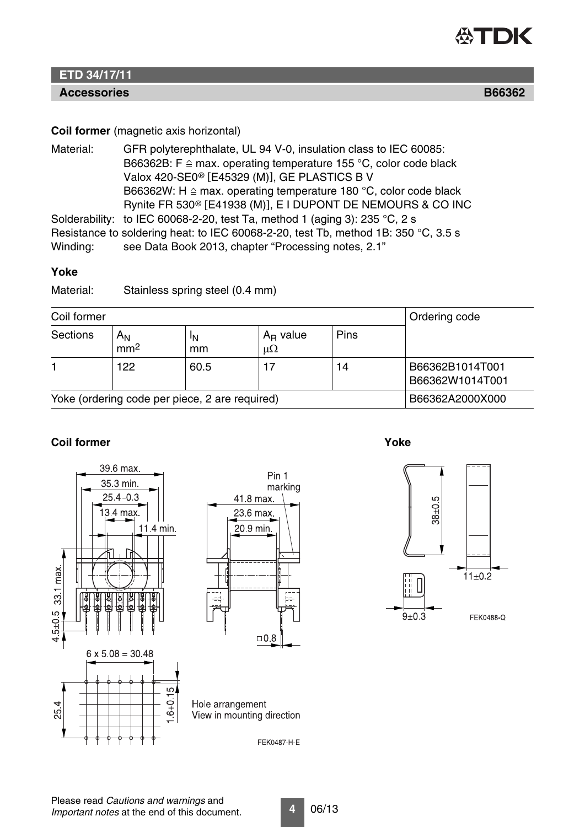

## **ETD 34/17/11**

#### **Accessories B66362**

#### **Coil former** (magnetic axis horizontal)

Material: GFR polyterephthalate, UL 94 V-0, insulation class to IEC 60085: B66362B: F  $\cong$  max. operating temperature 155 °C, color code black Valox 420-SE0<sup>®</sup> [E45329 (M)], GE PLASTICS B V B66362W: H  $\cong$  max. operating temperature 180 °C, color code black Rynite FR 530® [E41938 (M)], E I DUPONT DE NEMOURS & CO INC Solderability: to IEC 60068-2-20, test Ta, method 1 (aging 3): 235 °C, 2 s Resistance to soldering heat: to IEC 60068-2-20, test Tb, method 1B: 350 °C, 3.5 s Winding: see Data Book 2013, chapter "Processing notes, 2.1"

#### **Yoke**

Material: Stainless spring steel (0.4 mm)

| Coil former                                    |                            |          |                            |             | Ordering code                      |
|------------------------------------------------|----------------------------|----------|----------------------------|-------------|------------------------------------|
| Sections                                       | $A_{N}$<br>mm <sup>2</sup> | ΙN<br>mm | $A_R$ value<br>$\mu\Omega$ | <b>Pins</b> |                                    |
|                                                | 122                        | 60.5     | 17                         | 14          | B66362B1014T001<br>B66362W1014T001 |
| Yoke (ordering code per piece, 2 are required) |                            |          |                            |             | B66362A2000X000                    |

#### **Coil former** Yoke





**4** 06/13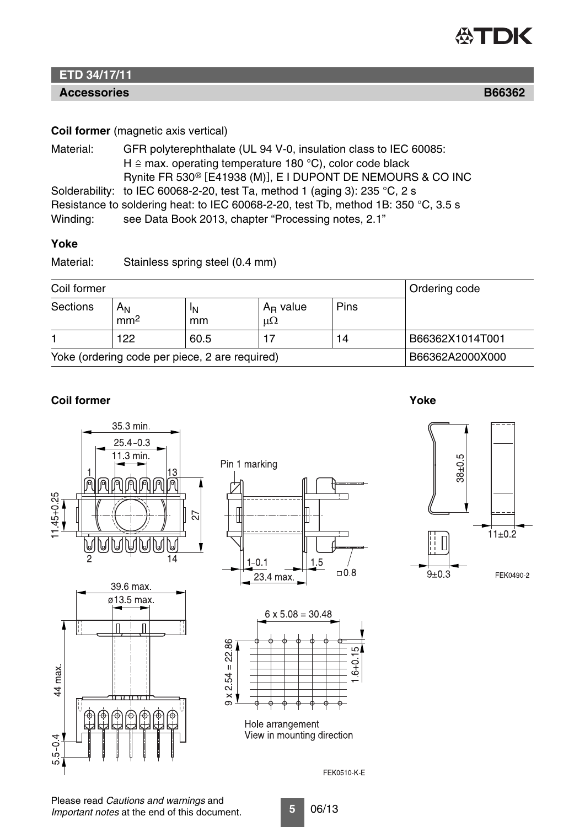

## **ETD 34/17/11**

## **Accessories B66362**

#### **Coil former** (magnetic axis vertical)

| Material: | GFR polyterephthalate (UL 94 V-0, insulation class to IEC 60085:                   |
|-----------|------------------------------------------------------------------------------------|
|           | H $\triangle$ max. operating temperature 180 °C), color code black                 |
|           | Rynite FR 530 <sup>®</sup> [E41938 (M)], E I DUPONT DE NEMOURS & CO INC            |
|           | Solderability: to IEC 60068-2-20, test Ta, method 1 (aging 3): 235 °C, 2 s         |
|           | Resistance to soldering heat: to IEC 60068-2-20, test Tb, method 1B: 350 °C, 3.5 s |
| Winding:  | see Data Book 2013, chapter "Processing notes, 2.1"                                |

#### **Yoke**

Material: Stainless spring steel (0.4 mm)

| Coil former                                    |                                   |          |                            |             | Ordering code   |
|------------------------------------------------|-----------------------------------|----------|----------------------------|-------------|-----------------|
| <b>Sections</b>                                | Α <sub>Ν</sub><br>mm <sup>2</sup> | ΙN<br>mm | $A_R$ value<br>$\mu\Omega$ | <b>Pins</b> |                 |
|                                                | 122                               | 60.5     |                            | 14          | B66362X1014T001 |
| Yoke (ordering code per piece, 2 are required) |                                   |          |                            |             | B66362A2000X000 |

#### **Coil former Yoke**

35.3 min.  $25.4 - 0.3$ 11.3 min. 13 徆 侗 佰  $145 + 0.25$ 27 O  $\overline{14}$ 







 $6 \times 5.08 = 30.48$  $9 \times 254 = 2286$ LC.  $6 + 0$ Hole arrangement



FEK0510-K-E

#### Please read *Cautions and warnings* and *Important notes* at the end of this document.

**5** 06/13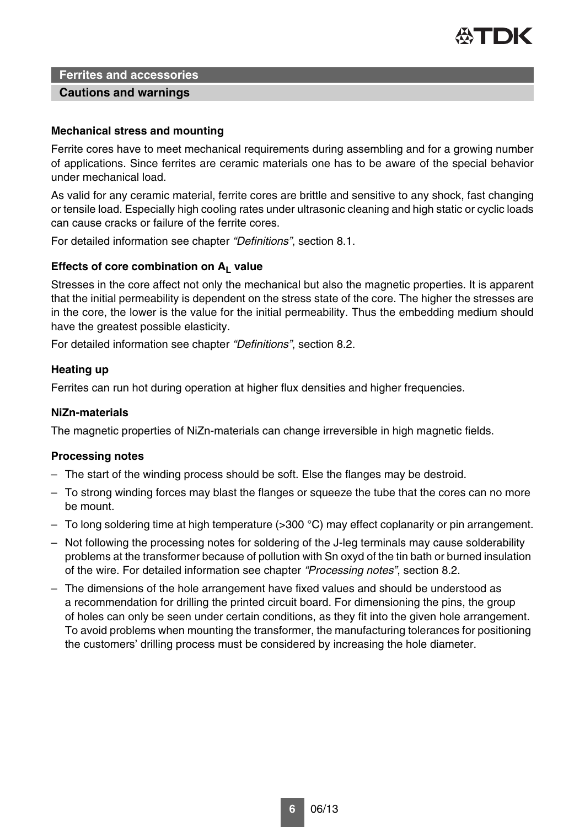

#### **Cautions and warnings**

#### **Mechanical stress and mounting**

Ferrite cores have to meet mechanical requirements during assembling and for a growing number of applications. Since ferrites are ceramic materials one has to be aware of the special behavior under mechanical load.

As valid for any ceramic material, ferrite cores are brittle and sensitive to any shock, fast changing or tensile load. Especially high cooling rates under ultrasonic cleaning and high static or cyclic loads can cause cracks or failure of the ferrite cores.

For detailed information see chapter *"Definitions"*, section 8.1.

#### Effects of core combination on A<sub>L</sub> value

Stresses in the core affect not only the mechanical but also the magnetic properties. It is apparent that the initial permeability is dependent on the stress state of the core. The higher the stresses are in the core, the lower is the value for the initial permeability. Thus the embedding medium should have the greatest possible elasticity.

For detailed information see chapter *"Definitions"*, section 8.2.

#### **Heating up**

Ferrites can run hot during operation at higher flux densities and higher frequencies.

#### **NiZn-materials**

The magnetic properties of NiZn-materials can change irreversible in high magnetic fields.

#### **Processing notes**

- The start of the winding process should be soft. Else the flanges may be destroid.
- To strong winding forces may blast the flanges or squeeze the tube that the cores can no more be mount.
- To long soldering time at high temperature (>300 °C) may effect coplanarity or pin arrangement.
- Not following the processing notes for soldering of the J-leg terminals may cause solderability problems at the transformer because of pollution with Sn oxyd of the tin bath or burned insulation of the wire. For detailed information see chapter *"Processing notes"*, section 8.2.
- The dimensions of the hole arrangement have fixed values and should be understood as a recommendation for drilling the printed circuit board. For dimensioning the pins, the group of holes can only be seen under certain conditions, as they fit into the given hole arrangement. To avoid problems when mounting the transformer, the manufacturing tolerances for positioning the customers' drilling process must be considered by increasing the hole diameter.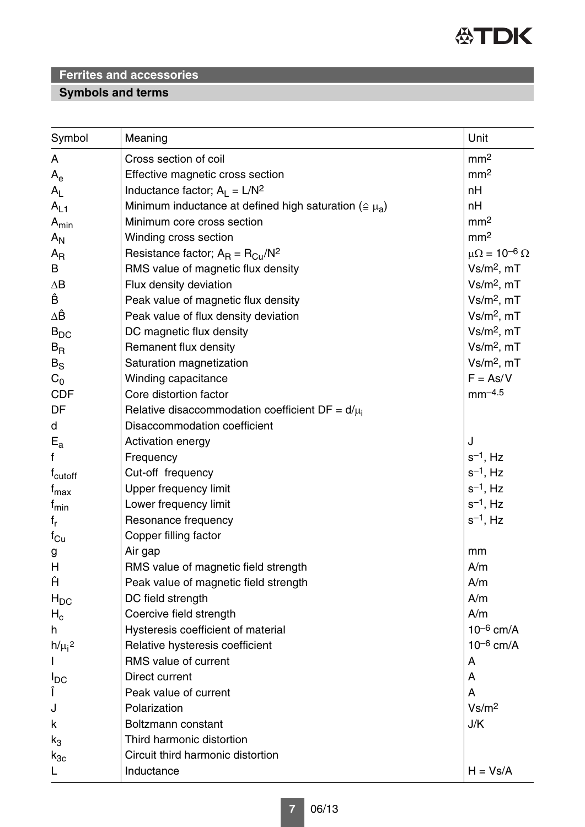

## **Symbols and terms**

| Symbol                            | Meaning                                                           | Unit                         |
|-----------------------------------|-------------------------------------------------------------------|------------------------------|
| A                                 | Cross section of coil                                             | mm <sup>2</sup>              |
| $A_e$                             | Effective magnetic cross section                                  | mm <sup>2</sup>              |
| $A_{L}$                           | Inductance factor; $A_L = L/N^2$                                  | nH                           |
| $A_{L1}$                          | Minimum inductance at defined high saturation ( $\approx \mu_a$ ) | nH                           |
| $A_{min}$                         | Minimum core cross section                                        | mm <sup>2</sup>              |
| $A_{N}$                           | Winding cross section                                             | mm <sup>2</sup>              |
| $A_{R}$                           | Resistance factor; $A_R = R_{Cu}/N^2$                             | $\mu\Omega = 10^{-6} \Omega$ |
| B                                 | RMS value of magnetic flux density                                | $Vs/m2$ , mT                 |
| $\Delta B$                        | Flux density deviation                                            | $Vs/m2$ , mT                 |
| Ê                                 | Peak value of magnetic flux density                               | $Vs/m2$ , mT                 |
| ΔÊ                                | Peak value of flux density deviation                              | $Vs/m2$ , mT                 |
| $B_{DC}$                          | DC magnetic flux density                                          | $Vs/m2$ , mT                 |
| $B_{R}$                           | Remanent flux density                                             | $Vs/m2$ , mT                 |
| $B_S$                             | Saturation magnetization                                          | $Vs/m2$ , mT                 |
| $C_0$                             | Winding capacitance                                               | $F = As/V$                   |
| <b>CDF</b>                        | Core distortion factor                                            | $mm^{-4.5}$                  |
| DF                                | Relative disaccommodation coefficient $DF = d/\mu_i$              |                              |
| d                                 | Disaccommodation coefficient                                      |                              |
| $E_{a}$                           | Activation energy                                                 | J                            |
| f                                 | Frequency                                                         | $s^{-1}$ , Hz                |
| f <sub>cutoff</sub>               | Cut-off frequency                                                 | $s^{-1}$ , Hz                |
| t <sub>max</sub>                  | Upper frequency limit                                             | $s^{-1}$ , Hz                |
| f <sub>min</sub>                  | Lower frequency limit                                             | $s^{-1}$ , Hz                |
| $f_r$                             | Resonance frequency                                               | $s^{-1}$ , Hz                |
| $f_{\text{Cu}}$                   | Copper filling factor                                             |                              |
| g                                 | Air gap                                                           | mm                           |
| H                                 | RMS value of magnetic field strength                              | A/m                          |
| Ĥ                                 | Peak value of magnetic field strength                             | A/m                          |
| $H_{DC}$                          | DC field strength                                                 | A/m                          |
| $H_c$                             | Coercive field strength                                           | A/m                          |
| h                                 | Hysteresis coefficient of material                                | $10^{-6}$ cm/A               |
| $h/\mu$ <sub>i</sub> <sup>2</sup> | Relative hysteresis coefficient                                   | $10^{-6}$ cm/A               |
|                                   | RMS value of current                                              | A                            |
| $I_{DC}$                          | Direct current                                                    | A                            |
| Î                                 | Peak value of current                                             | A                            |
| J                                 | Polarization                                                      | Vs/m <sup>2</sup>            |
| k                                 | Boltzmann constant                                                | J/K                          |
| $k_3$                             | Third harmonic distortion                                         |                              |
| $k_{3c}$                          | Circuit third harmonic distortion                                 |                              |
| L                                 | Inductance                                                        | $H = Vs/A$                   |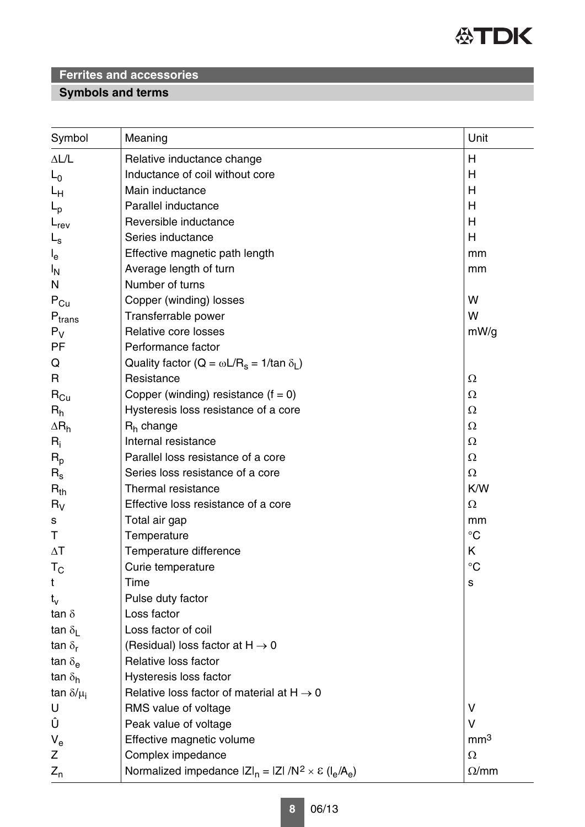

## **Symbols and terms**

| Symbol                     | Meaning                                                                 | Unit            |
|----------------------------|-------------------------------------------------------------------------|-----------------|
| $\Delta L/L$               | Relative inductance change                                              | Н               |
| $L_0$                      | Inductance of coil without core                                         | Н               |
| Lн                         | Main inductance                                                         | H               |
| $L_{\rm p}$                | Parallel inductance                                                     | H               |
| $L_{rev}$                  | Reversible inductance                                                   | Н               |
| $L_{\rm s}$                | Series inductance                                                       | H               |
| $I_{e}$                    | Effective magnetic path length                                          | mm              |
| ΙŅ                         | Average length of turn                                                  | mm              |
| N                          | Number of turns                                                         |                 |
| $\mathsf{P}_{\mathsf{Cu}}$ | Copper (winding) losses                                                 | W               |
| $P_{trans}$                | Transferrable power                                                     | W               |
| $P_V$                      | Relative core losses                                                    | mW/g            |
| PF                         | Performance factor                                                      |                 |
| Q                          | Quality factor ( $Q = \omega L/R_s = 1/tan \delta_l$ )                  |                 |
| R                          | Resistance                                                              | Ω               |
| $\mathsf{R}_{\mathsf{Cu}}$ | Copper (winding) resistance $(f = 0)$                                   | Ω               |
| $R_h$                      | Hysteresis loss resistance of a core                                    | Ω               |
| $\Delta R_h$               | $Rh$ change                                                             | Ω               |
| $R_i$                      | Internal resistance                                                     | Ω               |
| $R_{p}$                    | Parallel loss resistance of a core                                      | Ω               |
| $R_{\rm s}$                | Series loss resistance of a core                                        | Ω               |
| $R_{th}$                   | Thermal resistance                                                      | K/W             |
| $R_V$                      | Effective loss resistance of a core                                     | Ω               |
| s                          | Total air gap                                                           | mm              |
| Τ                          | Temperature                                                             | $^{\circ}C$     |
| $\Delta T$                 | Temperature difference                                                  | Κ               |
| $T_{\rm C}$                | Curie temperature                                                       | $^{\circ}C$     |
| t                          | Time                                                                    | S               |
| $t_v$                      | Pulse duty factor                                                       |                 |
| tan $\delta$               | Loss factor                                                             |                 |
| tan $\delta_{\rm L}$       | Loss factor of coil                                                     |                 |
| tan $\delta_{\mathbf{r}}$  | (Residual) loss factor at $H \rightarrow 0$                             |                 |
| tan $\delta_{\mathbf{e}}$  | Relative loss factor                                                    |                 |
| tan $\delta_h$             | Hysteresis loss factor                                                  |                 |
| tan $\delta/\mu_i$         | Relative loss factor of material at $H \rightarrow 0$                   |                 |
| U                          | RMS value of voltage                                                    | V               |
| Û                          | Peak value of voltage                                                   | $\vee$          |
| $V_{e}$                    | Effective magnetic volume                                               | mm <sup>3</sup> |
| Z                          | Complex impedance                                                       | $\Omega$        |
| $Z_{n}$                    | Normalized impedance $ Z _n =  Z  / N^2 \times \varepsilon (I_e / A_e)$ | $\Omega/mm$     |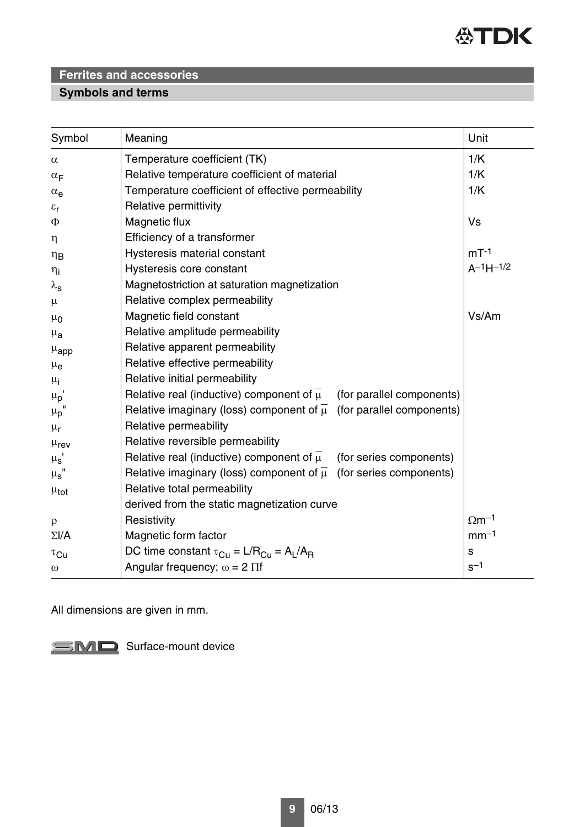

## **Symbols and terms**

| Symbol                     | Meaning                                                                            | Unit                     |
|----------------------------|------------------------------------------------------------------------------------|--------------------------|
| $\alpha$                   | Temperature coefficient (TK)                                                       | 1/K                      |
| $\alpha_F$                 | Relative temperature coefficient of material                                       | 1/K                      |
| $\alpha_e$                 | Temperature coefficient of effective permeability                                  | 1/K                      |
| $\varepsilon_{\mathsf{r}}$ | Relative permittivity                                                              |                          |
| Φ                          | Magnetic flux                                                                      | Vs                       |
| $\eta$                     | Efficiency of a transformer                                                        |                          |
| $\eta_B$                   | Hysteresis material constant                                                       | $mT-1$                   |
| $\eta_i$                   | Hysteresis core constant                                                           | $A^{-1}H^{-1/2}$         |
| $\lambda_{\rm s}$          | Magnetostriction at saturation magnetization                                       |                          |
| $\mu$                      | Relative complex permeability                                                      |                          |
| $\mu_0$                    | Magnetic field constant                                                            | Vs/Am                    |
| $\mu_{a}$                  | Relative amplitude permeability                                                    |                          |
| $\mu_{\rm app}$            | Relative apparent permeability                                                     |                          |
| $\mu_{\rm e}$              | Relative effective permeability                                                    |                          |
| $\mu_{i}$                  | Relative initial permeability                                                      |                          |
| $\mu_p$                    | Relative real (inductive) component of $\mu$<br>(for parallel components)          |                          |
| $\mu_{\rm p}$              | Relative imaginary (loss) component of $\overline{\mu}$ (for parallel components)  |                          |
| $\mu_{\text{r}}$           | Relative permeability                                                              |                          |
| $\mu_{\text{rev}}$         | Relative reversible permeability                                                   |                          |
| $\mu_{\rm s}$              | Relative real (inductive) component of $\overline{\mu}$<br>(for series components) |                          |
| $\mu_{\text{s}}$ "         | Relative imaginary (loss) component of $\overline{\mu}$ (for series components)    |                          |
| $\mu_{\text{tot}}$         | Relative total permeability                                                        |                          |
|                            | derived from the static magnetization curve                                        |                          |
| $\rho$                     | Resistivity                                                                        | $\Omega$ m <sup>-1</sup> |
| $\Sigma I/A$               | Magnetic form factor                                                               | $mm-1$                   |
| $\tau_{\text{Cu}}$         | DC time constant $\tau_{Cu} = L/R_{Cu} = A_L/A_R$                                  | $\mathbf S$              |
| $\omega$                   | Angular frequency; $\omega = 2 \Pi f$                                              | $s^{-1}$                 |

All dimensions are given in mm.

SMD Surface-mount device